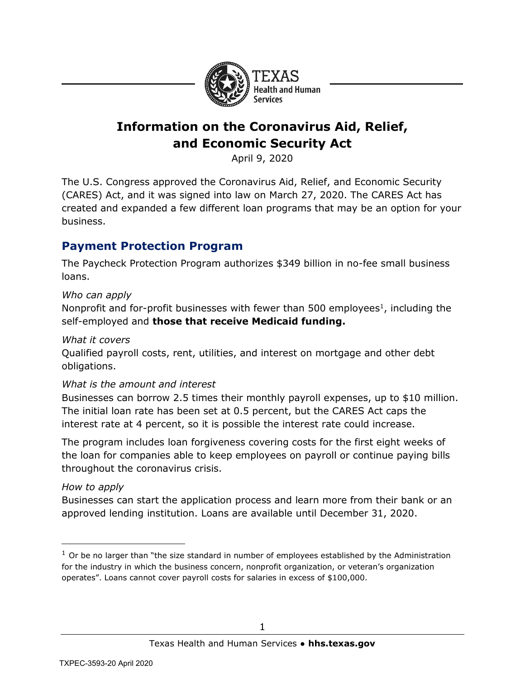

# **Information on the Coronavirus Aid, Relief, and Economic Security Act**

April 9, 2020

The U.S. Congress approved the Coronavirus Aid, Relief, and Economic Security (CARES) Act, and it was signed into law on March 27, 2020. The CARES Act has created and expanded a few different loan programs that may be an option for your business.

# **Payment Protection Program**

The Paycheck Protection Program authorizes \$349 billion in no-fee small business loans.

### *Who can apply*

Nonprofit and for-profit businesses with fewer than 500 employees $<sup>1</sup>$ , including the</sup> self-employed and **those that receive Medicaid funding.**

### *What it covers*

Qualified payroll costs, rent, utilities, and interest on mortgage and other debt obligations.

### *What is the amount and interest*

Businesses can borrow 2.5 times their monthly payroll expenses, up to \$10 million. The initial loan rate has been set at 0.5 percent, but the CARES Act caps the interest rate at 4 percent, so it is possible the interest rate could increase.

The program includes loan forgiveness covering costs for the first eight weeks of the loan for companies able to keep employees on payroll or continue paying bills throughout the coronavirus crisis.

### *How to apply*

Businesses can start the application process and learn more from their bank or an approved lending institution. Loans are available until December 31, 2020.

 $<sup>1</sup>$  Or be no larger than "the size standard in number of employees established by the Administration</sup> for the industry in which the business concern, nonprofit organization, or veteran's organization operates". Loans cannot cover payroll costs for salaries in excess of \$100,000.